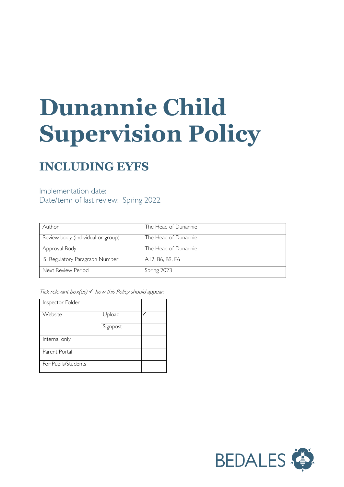# **Dunannie Child Supervision Policy**

## **INCLUDING EYFS**

### Implementation date: Date/term of last review: Spring 2022

| Author                            | The Head of Dunannie |
|-----------------------------------|----------------------|
|                                   |                      |
| Review body (individual or group) | The Head of Dunannie |
|                                   |                      |
| Approval Body                     | The Head of Dunannie |
|                                   |                      |
| ISI Regulatory Paragraph Number   | A12, B6, B9, E6      |
|                                   |                      |
| Next Review Period                | Spring 2023          |
|                                   |                      |

Tick relevant box(es)  $\checkmark$  how this Policy should appear:

| Inspector Folder    |          |  |
|---------------------|----------|--|
| Website             | Upload   |  |
|                     | Signpost |  |
| Internal only       |          |  |
| Parent Portal       |          |  |
| For Pupils/Students |          |  |

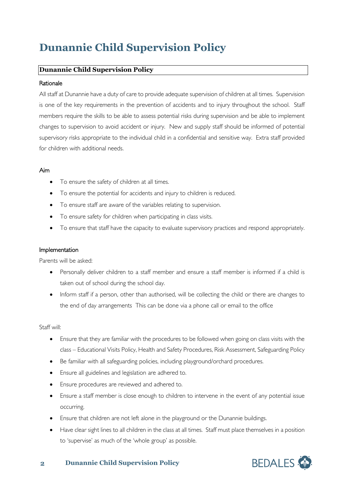## **Dunannie Child Supervision Policy**

#### **Dunannie Child Supervision Policy**

#### **Rationale**

All staff at Dunannie have a duty of care to provide adequate supervision of children at all times. Supervision is one of the key requirements in the prevention of accidents and to injury throughout the school. Staff members require the skills to be able to assess potential risks during supervision and be able to implement changes to supervision to avoid accident or injury. New and supply staff should be informed of potential supervisory risks appropriate to the individual child in a confidential and sensitive way. Extra staff provided for children with additional needs.

#### Aim

- To ensure the safety of children at all times.
- To ensure the potential for accidents and injury to children is reduced.
- To ensure staff are aware of the variables relating to supervision.
- To ensure safety for children when participating in class visits.
- To ensure that staff have the capacity to evaluate supervisory practices and respond appropriately.

#### Implementation

Parents will be asked:

- Personally deliver children to a staff member and ensure a staff member is informed if a child is taken out of school during the school day.
- Inform staff if a person, other than authorised, will be collecting the child or there are changes to the end of day arrangements This can be done via a phone call or email to the office

#### Staff will:

- Ensure that they are familiar with the procedures to be followed when going on class visits with the class – Educational Visits Policy, Health and Safety Procedures, Risk Assessment, Safeguarding Policy
- Be familiar with all safeguarding policies, including playground/orchard procedures.
- Ensure all guidelines and legislation are adhered to.
- Ensure procedures are reviewed and adhered to.
- Ensure a staff member is close enough to children to intervene in the event of any potential issue occurring.
- Ensure that children are not left alone in the playground or the Dunannie buildings.
- Have clear sight lines to all children in the class at all times. Staff must place themselves in a position to 'supervise' as much of the 'whole group' as possible.



#### **2 Dunannie Child Supervision Policy**